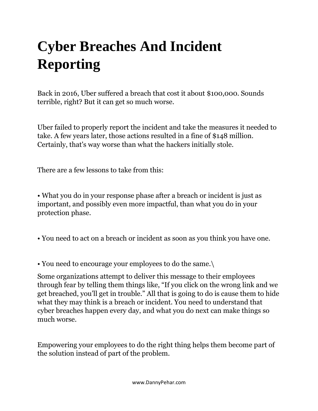## **Cyber Breaches And Incident Reporting**

Back in 2016, Uber suffered a breach that cost it about \$100,000. Sounds terrible, right? But it can get so much worse.

Uber failed to properly report the incident and take the measures it needed to take. A few years later, those actions resulted in a fine of \$148 million. Certainly, that's way worse than what the hackers initially stole.

There are a few lessons to take from this:

• What you do in your response phase after a breach or incident is just as important, and possibly even more impactful, than what you do in your protection phase.

• You need to act on a breach or incident as soon as you think you have one.

• You need to encourage your employees to do the same.\

Some organizations attempt to deliver this message to their employees through fear by telling them things like, "If you click on the wrong link and we get breached, you'll get in trouble." All that is going to do is cause them to hide what they may think is a breach or incident. You need to understand that cyber breaches happen every day, and what you do next can make things so much worse.

Empowering your employees to do the right thing helps them become part of the solution instead of part of the problem.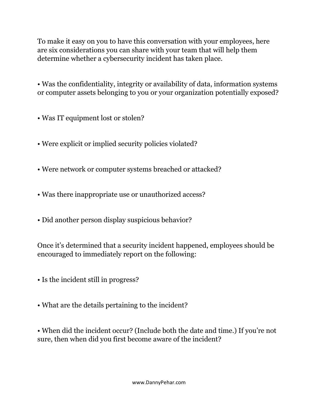To make it easy on you to have this conversation with your employees, here are six considerations you can share with your team that will help them determine whether a cybersecurity incident has taken place.

• Was the confidentiality, integrity or availability of data, information systems or computer assets belonging to you or your organization potentially exposed?

- Was IT equipment lost or stolen?
- Were explicit or implied security policies violated?
- Were network or computer systems breached or attacked?
- Was there inappropriate use or unauthorized access?
- Did another person display suspicious behavior?

Once it's determined that a security incident happened, employees should be encouraged to immediately report on the following:

- Is the incident still in progress?
- What are the details pertaining to the incident?

• When did the incident occur? (Include both the date and time.) If you're not sure, then when did you first become aware of the incident?